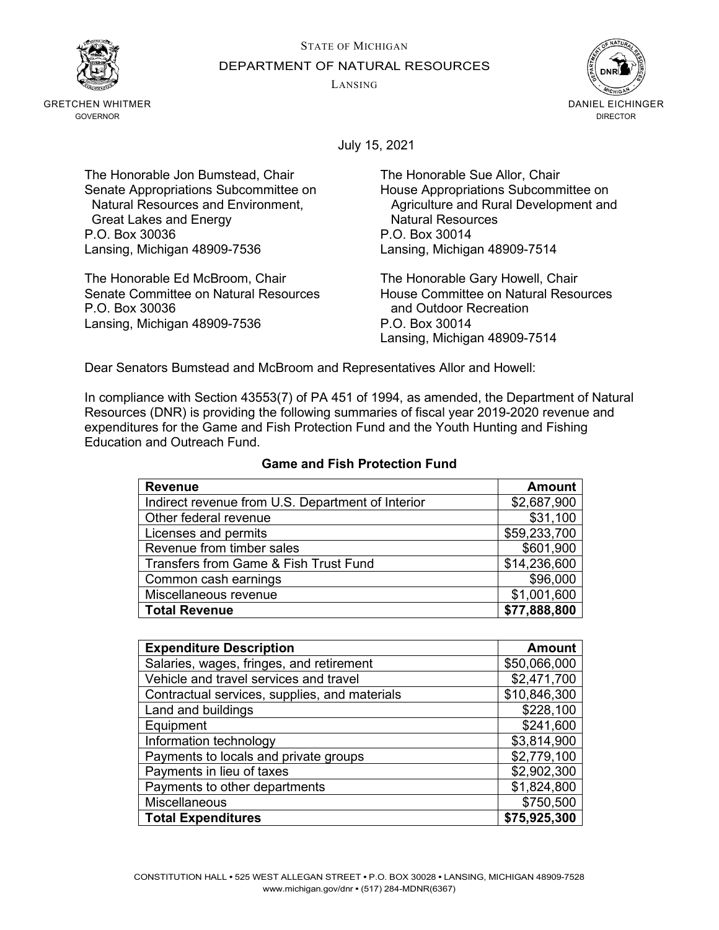STATE OF MICHIGAN



GRETCHEN WHITMER GOVERNOR

DEPARTMENT OF NATURAL RESOURCES

LANSING



July 15, 2021

The Honorable Jon Bumstead, Chair The Honorable Sue Allor, Chair Senate Appropriations Subcommittee on Fouse Appropriations Subcommittee on<br>Natural Resources and Environment, Appropriations and Rural Development and Great Lakes and Energy **Natural Resources**<br>
C.O. Box 30036 <br>
P.O. Box 30014 P.O. Box 30036 Lansing, Michigan 48909-7536 Lansing, Michigan 48909-7514

The Honorable Ed McBroom, Chair **The Honorable Gary Howell, Chair**<br>Senate Committee on Natural Resources **The House Committee on Natural Resources** Senate Committee on Natural Resources<br>P.O. Box 30036 Lansing, Michigan 48909-7536 P.O. Box 30014

Agriculture and Rural Development and

and Outdoor Recreation Lansing, Michigan 48909-7514

Dear Senators Bumstead and McBroom and Representatives Allor and Howell:

In compliance with Section 43553(7) of PA 451 of 1994, as amended, the Department of Natural Resources (DNR) is providing the following summaries of fiscal year 2019-2020 revenue and expenditures for the Game and Fish Protection Fund and the Youth Hunting and Fishing Education and Outreach Fund.

| <b>Revenue</b>                                    | <b>Amount</b> |
|---------------------------------------------------|---------------|
| Indirect revenue from U.S. Department of Interior | \$2,687,900   |
| Other federal revenue                             | \$31,100      |
| Licenses and permits                              | \$59,233,700  |
| Revenue from timber sales                         | \$601,900     |
| Transfers from Game & Fish Trust Fund             | \$14,236,600  |
| Common cash earnings                              | \$96,000      |
| Miscellaneous revenue                             | \$1,001,600   |
| <b>Total Revenue</b>                              | \$77,888,800  |

## **Game and Fish Protection Fund**

| <b>Expenditure Description</b>                | <b>Amount</b> |
|-----------------------------------------------|---------------|
| Salaries, wages, fringes, and retirement      | \$50,066,000  |
| Vehicle and travel services and travel        | \$2,471,700   |
| Contractual services, supplies, and materials | \$10,846,300  |
| Land and buildings                            | \$228,100     |
| Equipment                                     | \$241,600     |
| Information technology                        | \$3,814,900   |
| Payments to locals and private groups         | \$2,779,100   |
| Payments in lieu of taxes                     | \$2,902,300   |
| Payments to other departments                 | \$1,824,800   |
| <b>Miscellaneous</b>                          | \$750,500     |
| <b>Total Expenditures</b>                     | \$75,925,300  |